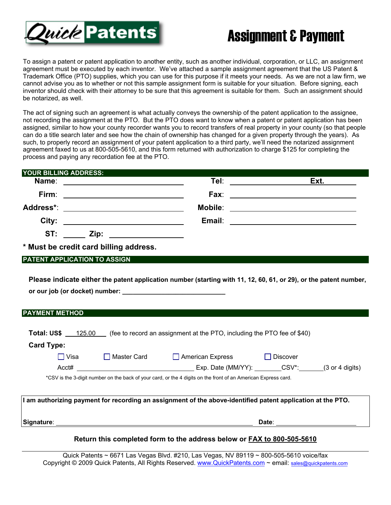

## Assignment & Payment

To assign a patent or patent application to another entity, such as another individual, corporation, or LLC, an assignment agreement must be executed by each inventor. We've attached a sample assignment agreement that the US Patent & Trademark Office (PTO) supplies, which you can use for this purpose if it meets your needs. As we are not a law firm, we cannot advise you as to whether or not this sample assignment form is suitable for your situation. Before signing, each inventor should check with their attorney to be sure that this agreement is suitable for them. Such an assignment should be notarized, as well.

The act of signing such an agreement is what actually conveys the ownership of the patent application to the assignee, not recording the assignment at the PTO. But the PTO does want to know when a patent or patent application has been assigned, similar to how your county recorder wants you to record transfers of real property in your county (so that people can do a title search later and see how the chain of ownership has changed for a given property through the years). As such, to properly record an assignment of your patent application to a third party, we'll need the notarized assignment agreement faxed to us at 800-505-5610, and this form returned with authorization to charge \$125 for completing the process and paying any recordation fee at the PTO.

| YOUR BILLING ADDRESS:                                         |         |                                                                                                                       |
|---------------------------------------------------------------|---------|-----------------------------------------------------------------------------------------------------------------------|
| Name:                                                         | Tel:    | Ext.                                                                                                                  |
| Firm:<br><u> 1989 - Jan Barnett, fransk politik (d. 1989)</u> |         | Fax: ____________________________                                                                                     |
| Address*: ____________________________                        | Mobile: | <u> 1989 - Andrea State Barbara, política establecera en la contrada de la contrada de la contrada de la contrada</u> |
| City:                                                         | Email:  | <u> 1989 - Johann Stein, fransk politik (d. 1989)</u>                                                                 |
|                                                               |         |                                                                                                                       |
|                                                               |         |                                                                                                                       |

**\* Must be credit card billing address.**

## **PATENT APPLICATION TO ASSIGN**

**Please indicate either the patent application number (starting with 11, 12, 60, 61, or 29), or the patent number,**  or our job (or docket) number:

| <b>PAYMENT METHOD</b> |             |                                                                         |            |                                    |
|-----------------------|-------------|-------------------------------------------------------------------------|------------|------------------------------------|
| Total: US\$           | 125.00      | (fee to record an assignment at the PTO, including the PTO fee of \$40) |            |                                    |
|                       |             |                                                                         |            |                                    |
| <b>Card Type:</b>     |             |                                                                         |            |                                    |
| ∏ Visa                | Master Card | $\Box$ American Express                                                 | ∐ Discover |                                    |
| Acct#                 |             | Exp. Date (MM/YY):                                                      | CSV*:      | $(3 \text{ or } 4 \text{ digits})$ |

\*CSV is the 3-digit number on the back of your card, or the 4 digits on the front of an American Express card.

| I am authorizing payment for recording an assignment of the above-identified patent application at the PTO. |       |  |
|-------------------------------------------------------------------------------------------------------------|-------|--|
| ∣Signature∶                                                                                                 | Date: |  |

## **Return this completed form to the address below or FAX to 800-505-5610**

Quick Patents ~ 6671 Las Vegas Blvd. #210, Las Vegas, NV 89119 ~ 800-505-5610 voice/fax Copyright © 2009 Quick Patents, All Rights Reserved. www.QuickPatents.com ~ email: sales@quickpatents.com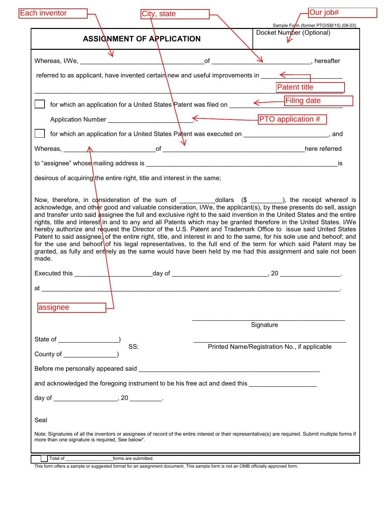|             | ASSIGNMENT OF APPLICATION                                                                                                                                                                                                            | Docket Number (Optional)                                                                                                                                                                                                                                                                                                                                                                                                                                                       |
|-------------|--------------------------------------------------------------------------------------------------------------------------------------------------------------------------------------------------------------------------------------|--------------------------------------------------------------------------------------------------------------------------------------------------------------------------------------------------------------------------------------------------------------------------------------------------------------------------------------------------------------------------------------------------------------------------------------------------------------------------------|
|             |                                                                                                                                                                                                                                      |                                                                                                                                                                                                                                                                                                                                                                                                                                                                                |
|             |                                                                                                                                                                                                                                      | referred to as applicant, have invented certain new and useful improvements in $\leftarrow$                                                                                                                                                                                                                                                                                                                                                                                    |
|             |                                                                                                                                                                                                                                      | <b>Patent title</b>                                                                                                                                                                                                                                                                                                                                                                                                                                                            |
|             |                                                                                                                                                                                                                                      |                                                                                                                                                                                                                                                                                                                                                                                                                                                                                |
|             |                                                                                                                                                                                                                                      |                                                                                                                                                                                                                                                                                                                                                                                                                                                                                |
|             |                                                                                                                                                                                                                                      | for which an application for a United States Patent was executed on _______________________________, and                                                                                                                                                                                                                                                                                                                                                                       |
|             |                                                                                                                                                                                                                                      | Whereas, $\overline{A}$ here referred                                                                                                                                                                                                                                                                                                                                                                                                                                          |
|             |                                                                                                                                                                                                                                      | is                                                                                                                                                                                                                                                                                                                                                                                                                                                                             |
|             | desirous of acquiring the entire right, title and interest in the same;                                                                                                                                                              |                                                                                                                                                                                                                                                                                                                                                                                                                                                                                |
|             |                                                                                                                                                                                                                                      | rights, title and interest in and to any and all Patents which may be granted therefore in the United States. I/We<br>hereby authorize and request the Director of the U.S. Patent and Trademark Office to issue said United States<br>Patent to said assignee, of the entire right, title, and interest in and to the same, for his sole use and behoof; and<br>for the use and behoof of his legal representatives, to the full end of the term for which said Patent may be |
| made.<br>at |                                                                                                                                                                                                                                      | granted, as fully and entirely as the same would have been held by me had this assignment and sale not been                                                                                                                                                                                                                                                                                                                                                                    |
| assignee    |                                                                                                                                                                                                                                      |                                                                                                                                                                                                                                                                                                                                                                                                                                                                                |
|             |                                                                                                                                                                                                                                      | Signature                                                                                                                                                                                                                                                                                                                                                                                                                                                                      |
|             | SS:                                                                                                                                                                                                                                  | Printed Name/Registration No., if applicable                                                                                                                                                                                                                                                                                                                                                                                                                                   |
|             | Before me personally appeared said <b>EXALC AND THE RESIDENT OF A SECOND CONTRACT OF A SECOND CONTRACT OF A SECOND CONTRACT OF A SECOND CONTRACT OF A SECOND CONTRACT OF A SECOND CONTRACT OF A SECOND CONTRACT OF A SECOND CONT</b> |                                                                                                                                                                                                                                                                                                                                                                                                                                                                                |
|             | and acknowledged the foregoing instrument to be his free act and deed this ________________________                                                                                                                                  |                                                                                                                                                                                                                                                                                                                                                                                                                                                                                |
|             |                                                                                                                                                                                                                                      |                                                                                                                                                                                                                                                                                                                                                                                                                                                                                |
| Seal        |                                                                                                                                                                                                                                      |                                                                                                                                                                                                                                                                                                                                                                                                                                                                                |